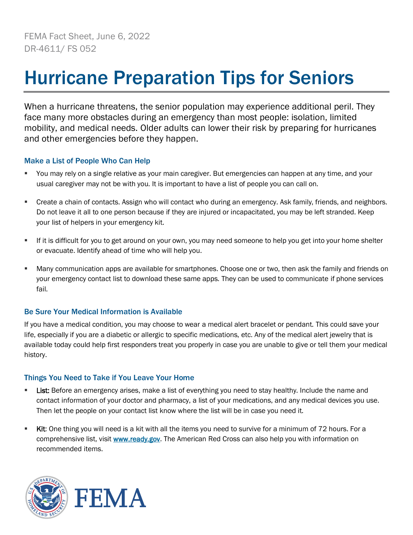## Hurricane Preparation Tips for Seniors

When a hurricane threatens, the senior population may experience additional peril. They face many more obstacles during an emergency than most people: isolation, limited mobility, and medical needs. Older adults can lower their risk by preparing for hurricanes and other emergencies before they happen.

## Make a List of People Who Can Help

- You may rely on a single relative as your main caregiver. But emergencies can happen at any time, and your usual caregiver may not be with you. It is important to have a list of people you can call on.
- Create a chain of contacts. Assign who will contact who during an emergency. Ask family, friends, and neighbors. Do not leave it all to one person because if they are injured or incapacitated, you may be left stranded. Keep your list of helpers in your emergency kit.
- If it is difficult for you to get around on your own, you may need someone to help you get into your home shelter or evacuate. Identify ahead of time who will help you.
- Many communication apps are available for smartphones. Choose one or two, then ask the family and friends on your emergency contact list to download these same apps. They can be used to communicate if phone services fail.

## Be Sure Your Medical Information is Available

If you have a medical condition, you may choose to wear a medical alert bracelet or pendant. This could save your life, especially if you are a diabetic or allergic to specific medications, etc. Any of the medical alert jewelry that is available today could help first responders treat you properly in case you are unable to give or tell them your medical history.

## Things You Need to Take if You Leave Your Home

- List: Before an emergency arises, make a list of everything you need to stay healthy. Include the name and contact information of your doctor and pharmacy, a list of your medications, and any medical devices you use. Then let the people on your contact list know where the list will be in case you need it.
- **EXIT:** One thing you will need is a kit with all the items you need to survive for a minimum of 72 hours. For a comprehensive list, visit [www.ready.gov.](http://www.ready.gov/) The American Red Cross can also help you with information on recommended items.